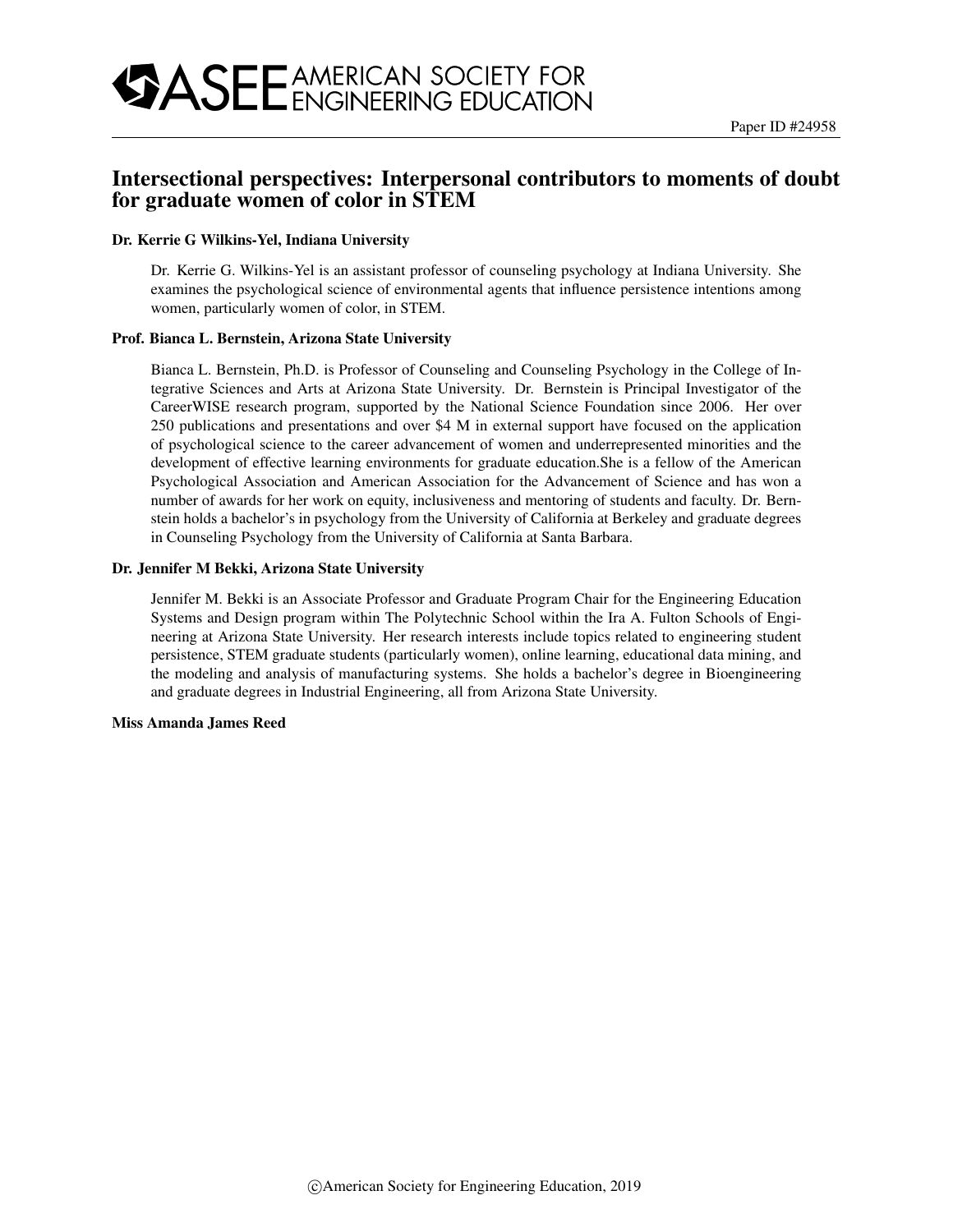# Intersectional perspectives: Interpersonal contributors to moments of doubt for graduate women of color in STEM

#### Dr. Kerrie G Wilkins-Yel, Indiana University

Dr. Kerrie G. Wilkins-Yel is an assistant professor of counseling psychology at Indiana University. She examines the psychological science of environmental agents that influence persistence intentions among women, particularly women of color, in STEM.

#### Prof. Bianca L. Bernstein, Arizona State University

Bianca L. Bernstein, Ph.D. is Professor of Counseling and Counseling Psychology in the College of Integrative Sciences and Arts at Arizona State University. Dr. Bernstein is Principal Investigator of the CareerWISE research program, supported by the National Science Foundation since 2006. Her over 250 publications and presentations and over \$4 M in external support have focused on the application of psychological science to the career advancement of women and underrepresented minorities and the development of effective learning environments for graduate education.She is a fellow of the American Psychological Association and American Association for the Advancement of Science and has won a number of awards for her work on equity, inclusiveness and mentoring of students and faculty. Dr. Bernstein holds a bachelor's in psychology from the University of California at Berkeley and graduate degrees in Counseling Psychology from the University of California at Santa Barbara.

#### Dr. Jennifer M Bekki, Arizona State University

Jennifer M. Bekki is an Associate Professor and Graduate Program Chair for the Engineering Education Systems and Design program within The Polytechnic School within the Ira A. Fulton Schools of Engineering at Arizona State University. Her research interests include topics related to engineering student persistence, STEM graduate students (particularly women), online learning, educational data mining, and the modeling and analysis of manufacturing systems. She holds a bachelor's degree in Bioengineering and graduate degrees in Industrial Engineering, all from Arizona State University.

#### Miss Amanda James Reed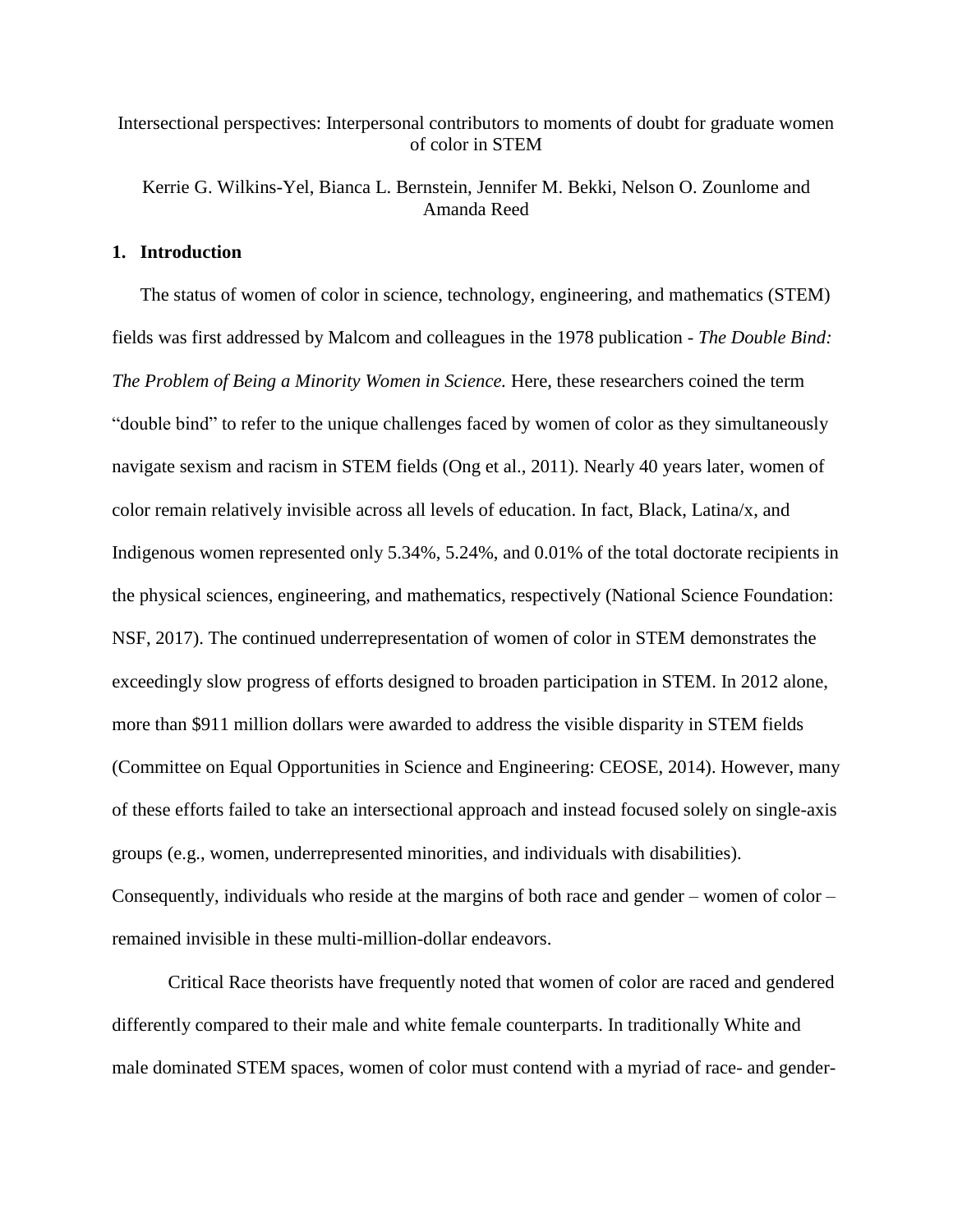## Intersectional perspectives: Interpersonal contributors to moments of doubt for graduate women of color in STEM

Kerrie G. Wilkins-Yel, Bianca L. Bernstein, Jennifer M. Bekki, Nelson O. Zounlome and Amanda Reed

## **1. Introduction**

The status of women of color in science, technology, engineering, and mathematics (STEM) fields was first addressed by Malcom and colleagues in the 1978 publication - *The Double Bind: The Problem of Being a Minority Women in Science.* Here, these researchers coined the term "double bind" to refer to the unique challenges faced by women of color as they simultaneously navigate sexism and racism in STEM fields (Ong et al., 2011). Nearly 40 years later, women of color remain relatively invisible across all levels of education. In fact, Black, Latina/x, and Indigenous women represented only 5.34%, 5.24%, and 0.01% of the total doctorate recipients in the physical sciences, engineering, and mathematics, respectively (National Science Foundation: NSF, 2017). The continued underrepresentation of women of color in STEM demonstrates the exceedingly slow progress of efforts designed to broaden participation in STEM. In 2012 alone, more than \$911 million dollars were awarded to address the visible disparity in STEM fields (Committee on Equal Opportunities in Science and Engineering: CEOSE, 2014). However, many of these efforts failed to take an intersectional approach and instead focused solely on single-axis groups (e.g., women, underrepresented minorities, and individuals with disabilities). Consequently, individuals who reside at the margins of both race and gender – women of color – remained invisible in these multi-million-dollar endeavors.

Critical Race theorists have frequently noted that women of color are raced and gendered differently compared to their male and white female counterparts. In traditionally White and male dominated STEM spaces, women of color must contend with a myriad of race- and gender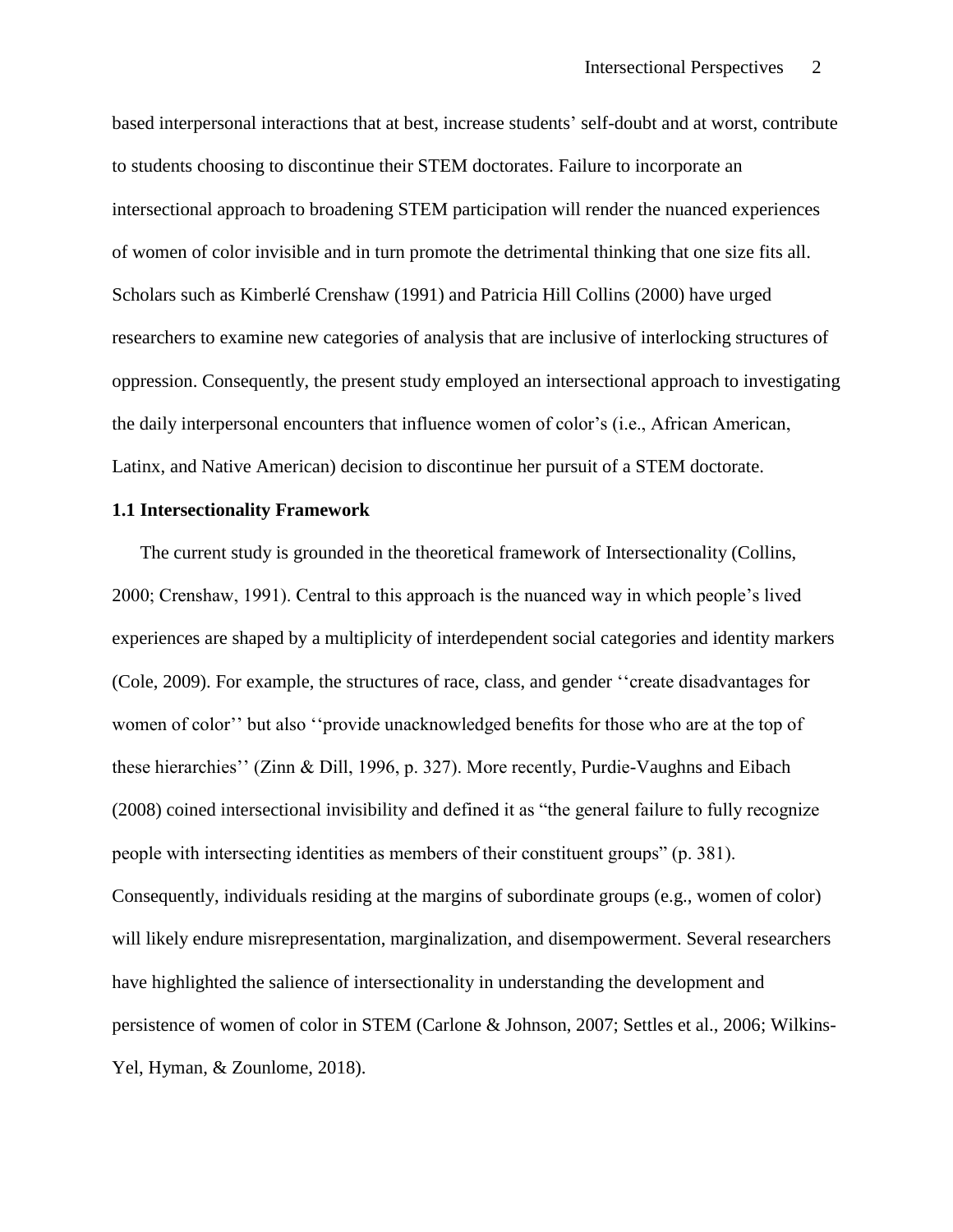based interpersonal interactions that at best, increase students' self-doubt and at worst, contribute to students choosing to discontinue their STEM doctorates. Failure to incorporate an intersectional approach to broadening STEM participation will render the nuanced experiences of women of color invisible and in turn promote the detrimental thinking that one size fits all. Scholars such as Kimberlé Crenshaw (1991) and Patricia Hill Collins (2000) have urged researchers to examine new categories of analysis that are inclusive of interlocking structures of oppression. Consequently, the present study employed an intersectional approach to investigating the daily interpersonal encounters that influence women of color's (i.e., African American, Latinx, and Native American) decision to discontinue her pursuit of a STEM doctorate.

### **1.1 Intersectionality Framework**

The current study is grounded in the theoretical framework of Intersectionality (Collins, 2000; Crenshaw, 1991). Central to this approach is the nuanced way in which people's lived experiences are shaped by a multiplicity of interdependent social categories and identity markers (Cole, 2009). For example, the structures of race, class, and gender ''create disadvantages for women of color'' but also ''provide unacknowledged benefits for those who are at the top of these hierarchies'' (Zinn & Dill, 1996, p. 327). More recently, Purdie-Vaughns and Eibach (2008) coined intersectional invisibility and defined it as "the general failure to fully recognize people with intersecting identities as members of their constituent groups" (p. 381). Consequently, individuals residing at the margins of subordinate groups (e.g., women of color) will likely endure misrepresentation, marginalization, and disempowerment. Several researchers have highlighted the salience of intersectionality in understanding the development and persistence of women of color in STEM (Carlone & Johnson, 2007; Settles et al., 2006; Wilkins-Yel, Hyman, & Zounlome, 2018).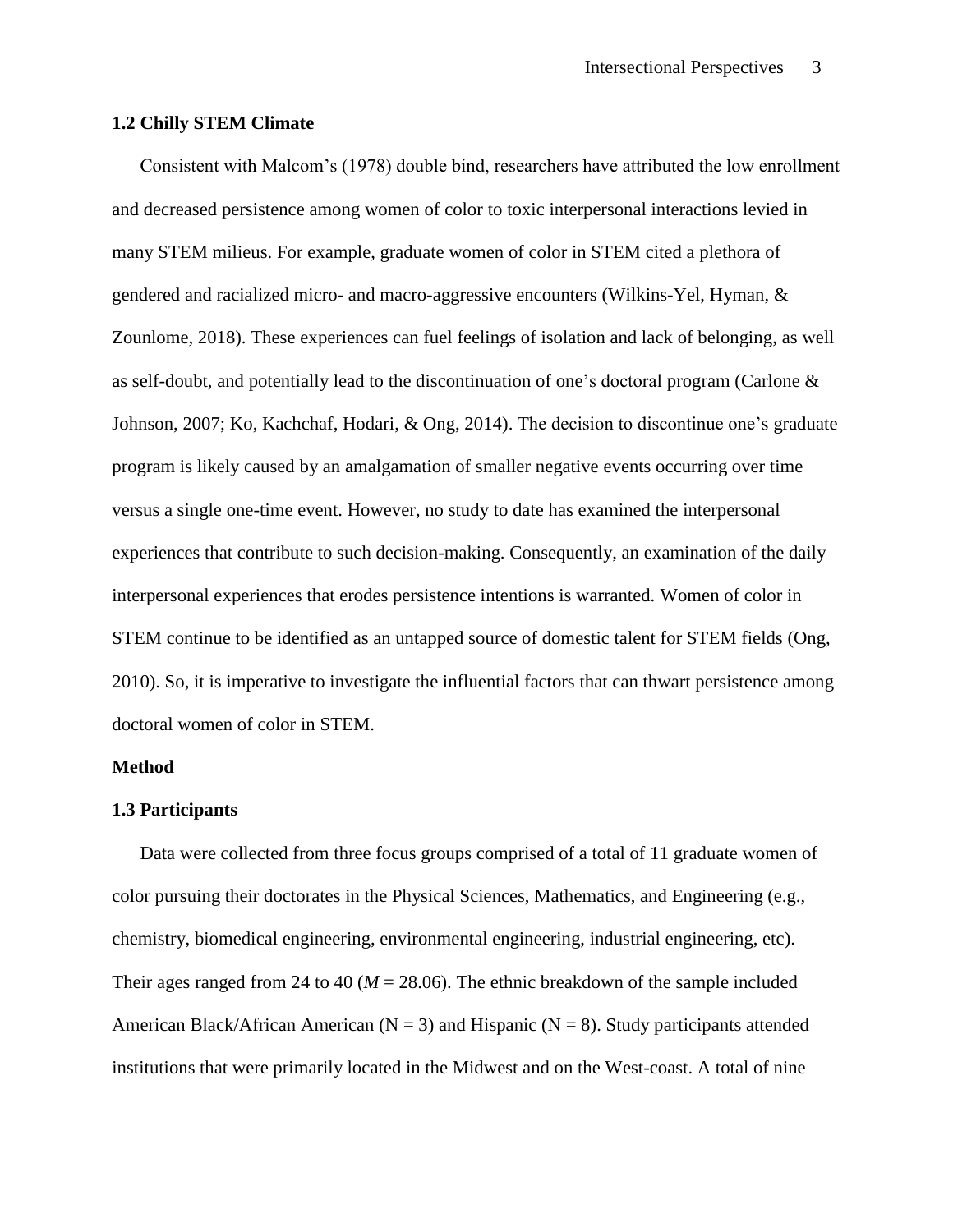### **1.2 Chilly STEM Climate**

Consistent with Malcom's (1978) double bind, researchers have attributed the low enrollment and decreased persistence among women of color to toxic interpersonal interactions levied in many STEM milieus. For example, graduate women of color in STEM cited a plethora of gendered and racialized micro- and macro-aggressive encounters (Wilkins-Yel, Hyman, & Zounlome, 2018). These experiences can fuel feelings of isolation and lack of belonging, as well as self-doubt, and potentially lead to the discontinuation of one's doctoral program (Carlone & Johnson, 2007; Ko, Kachchaf, Hodari, & Ong, 2014). The decision to discontinue one's graduate program is likely caused by an amalgamation of smaller negative events occurring over time versus a single one-time event. However, no study to date has examined the interpersonal experiences that contribute to such decision-making. Consequently, an examination of the daily interpersonal experiences that erodes persistence intentions is warranted. Women of color in STEM continue to be identified as an untapped source of domestic talent for STEM fields (Ong, 2010). So, it is imperative to investigate the influential factors that can thwart persistence among doctoral women of color in STEM.

## **Method**

## **1.3 Participants**

Data were collected from three focus groups comprised of a total of 11 graduate women of color pursuing their doctorates in the Physical Sciences, Mathematics, and Engineering (e.g., chemistry, biomedical engineering, environmental engineering, industrial engineering, etc). Their ages ranged from 24 to 40 ( $M = 28.06$ ). The ethnic breakdown of the sample included American Black/African American ( $N = 3$ ) and Hispanic ( $N = 8$ ). Study participants attended institutions that were primarily located in the Midwest and on the West-coast. A total of nine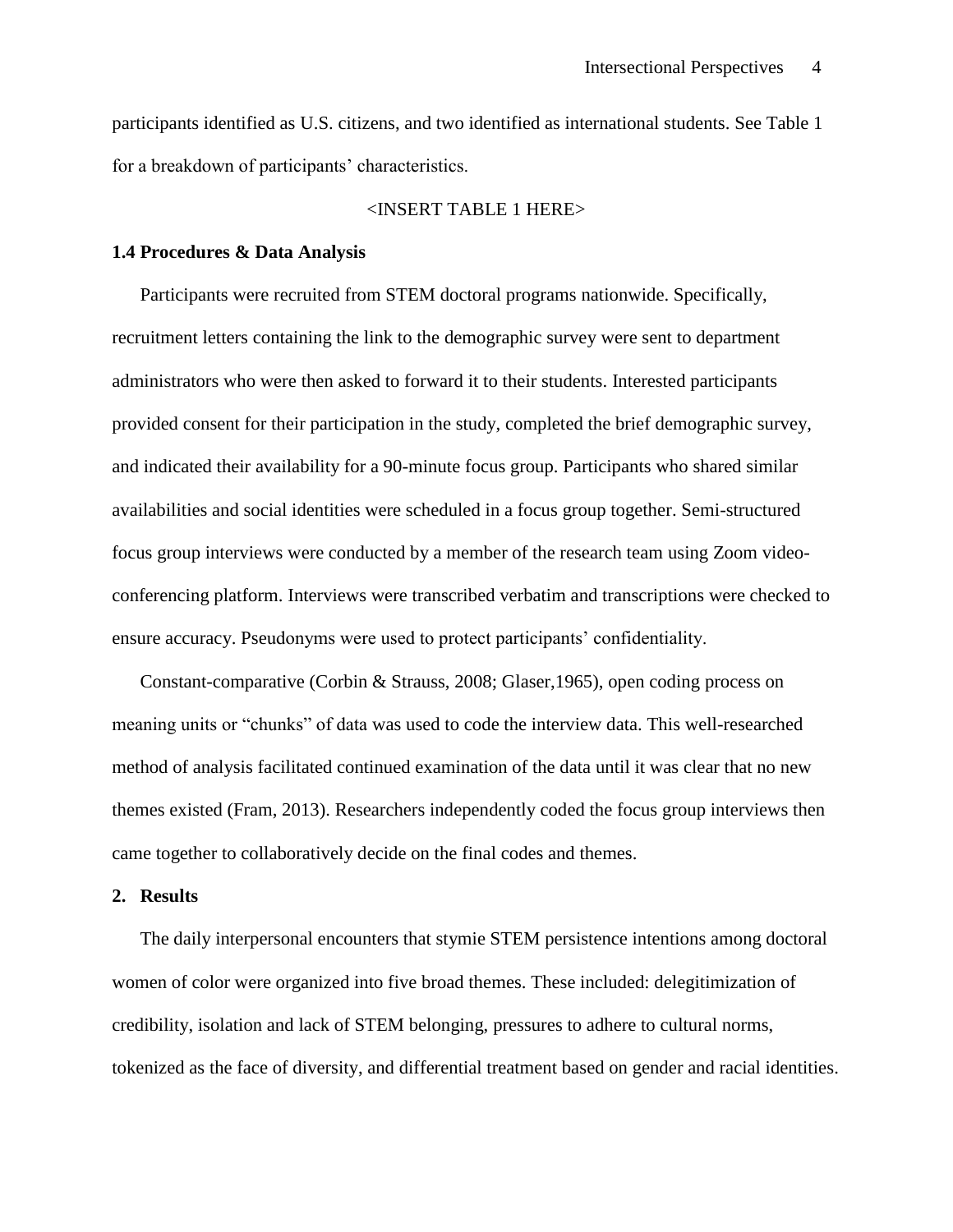participants identified as U.S. citizens, and two identified as international students. See Table 1 for a breakdown of participants' characteristics.

## <INSERT TABLE 1 HERE>

## **1.4 Procedures & Data Analysis**

Participants were recruited from STEM doctoral programs nationwide. Specifically, recruitment letters containing the link to the demographic survey were sent to department administrators who were then asked to forward it to their students. Interested participants provided consent for their participation in the study, completed the brief demographic survey, and indicated their availability for a 90-minute focus group. Participants who shared similar availabilities and social identities were scheduled in a focus group together. Semi-structured focus group interviews were conducted by a member of the research team using Zoom videoconferencing platform. Interviews were transcribed verbatim and transcriptions were checked to ensure accuracy. Pseudonyms were used to protect participants' confidentiality.

Constant-comparative (Corbin & Strauss, 2008; Glaser,1965), open coding process on meaning units or "chunks" of data was used to code the interview data. This well-researched method of analysis facilitated continued examination of the data until it was clear that no new themes existed (Fram, 2013). Researchers independently coded the focus group interviews then came together to collaboratively decide on the final codes and themes.

#### **2. Results**

The daily interpersonal encounters that stymie STEM persistence intentions among doctoral women of color were organized into five broad themes. These included: delegitimization of credibility, isolation and lack of STEM belonging, pressures to adhere to cultural norms, tokenized as the face of diversity, and differential treatment based on gender and racial identities.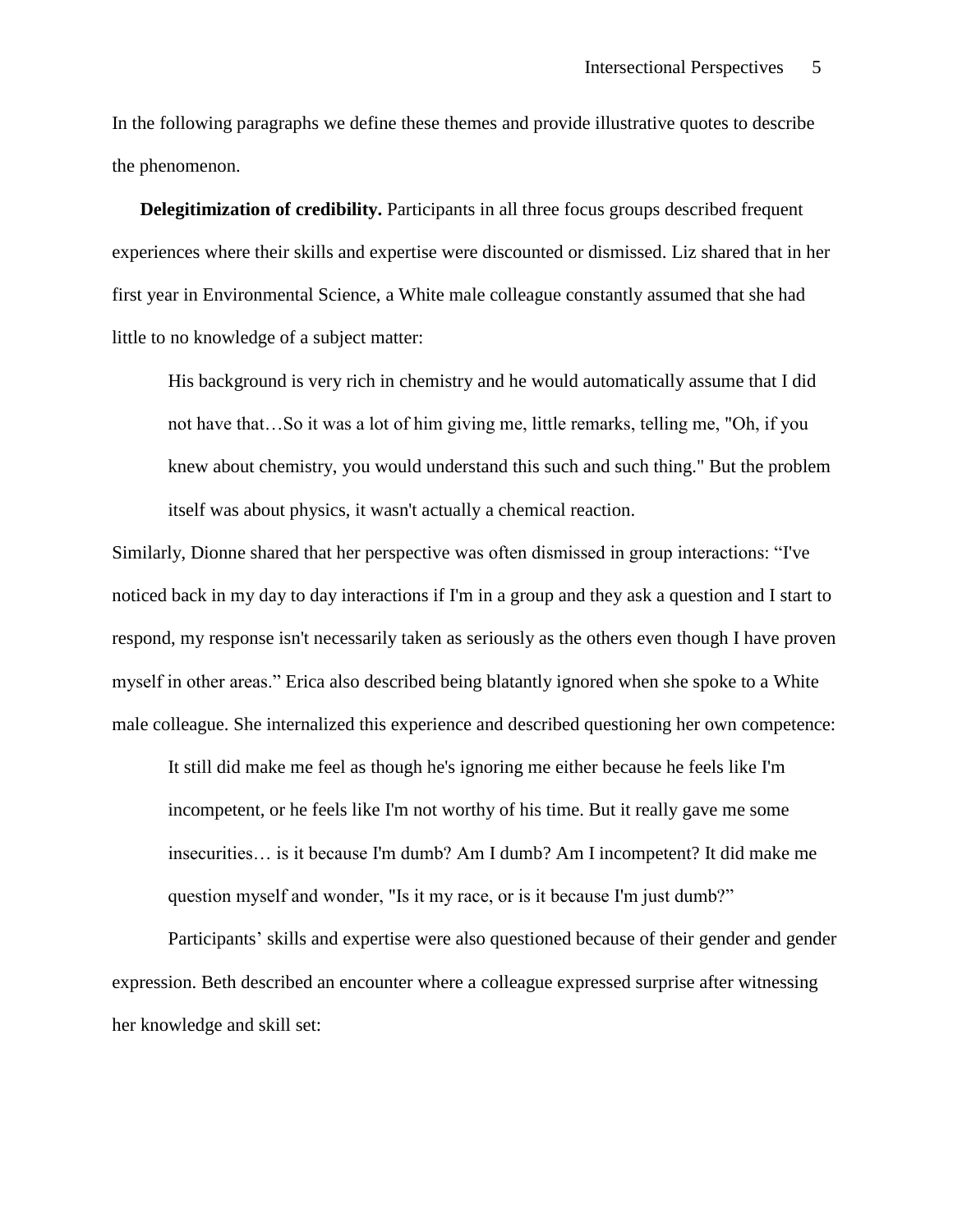In the following paragraphs we define these themes and provide illustrative quotes to describe the phenomenon.

**Delegitimization of credibility.** Participants in all three focus groups described frequent experiences where their skills and expertise were discounted or dismissed. Liz shared that in her first year in Environmental Science, a White male colleague constantly assumed that she had little to no knowledge of a subject matter:

His background is very rich in chemistry and he would automatically assume that I did not have that…So it was a lot of him giving me, little remarks, telling me, "Oh, if you knew about chemistry, you would understand this such and such thing." But the problem itself was about physics, it wasn't actually a chemical reaction.

Similarly, Dionne shared that her perspective was often dismissed in group interactions: "I've noticed back in my day to day interactions if I'm in a group and they ask a question and I start to respond, my response isn't necessarily taken as seriously as the others even though I have proven myself in other areas." Erica also described being blatantly ignored when she spoke to a White male colleague. She internalized this experience and described questioning her own competence:

It still did make me feel as though he's ignoring me either because he feels like I'm incompetent, or he feels like I'm not worthy of his time. But it really gave me some insecurities… is it because I'm dumb? Am I dumb? Am I incompetent? It did make me question myself and wonder, "Is it my race, or is it because I'm just dumb?"

Participants' skills and expertise were also questioned because of their gender and gender expression. Beth described an encounter where a colleague expressed surprise after witnessing her knowledge and skill set: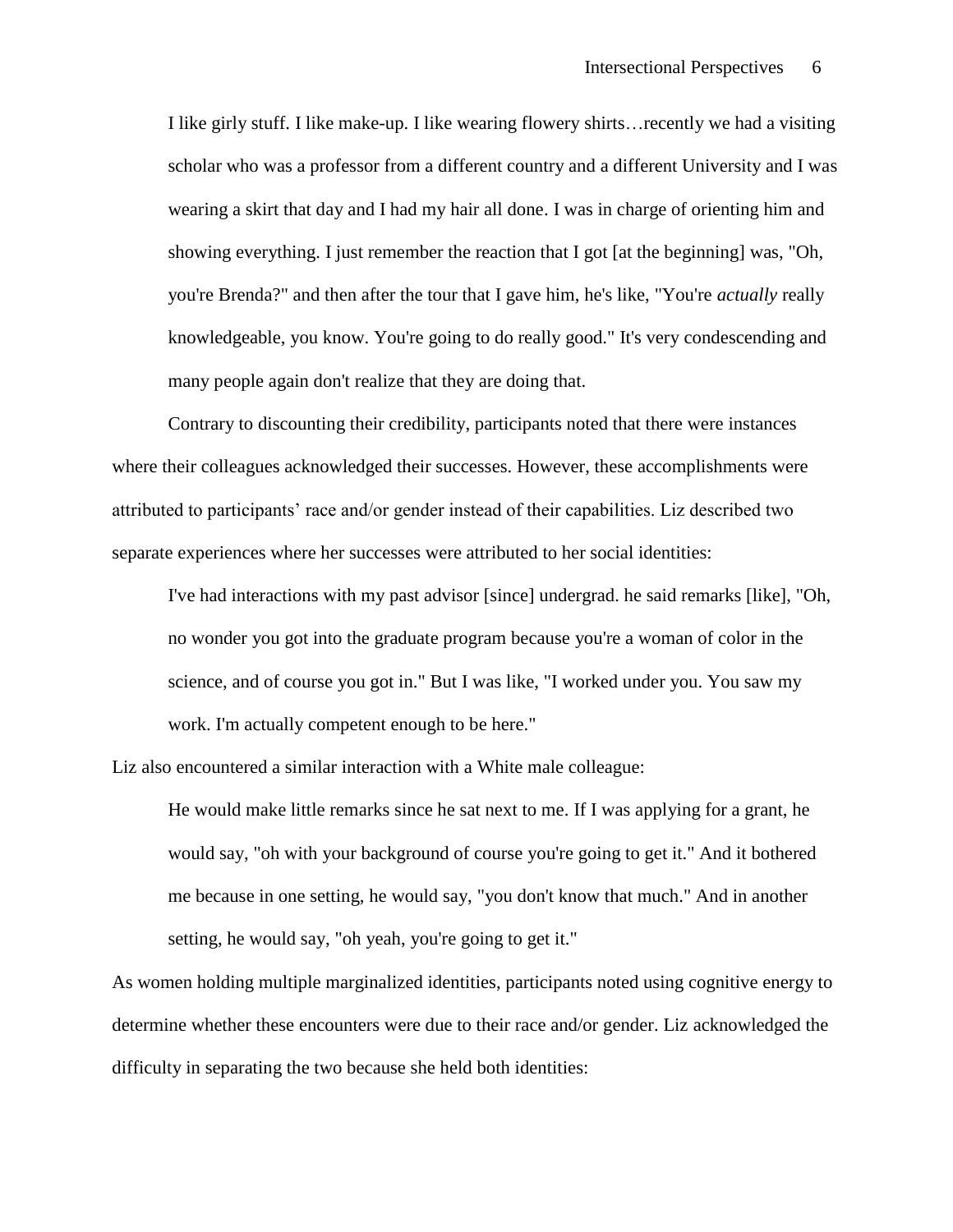I like girly stuff. I like make-up. I like wearing flowery shirts…recently we had a visiting scholar who was a professor from a different country and a different University and I was wearing a skirt that day and I had my hair all done. I was in charge of orienting him and showing everything. I just remember the reaction that I got [at the beginning] was, "Oh, you're Brenda?" and then after the tour that I gave him, he's like, "You're *actually* really knowledgeable, you know. You're going to do really good." It's very condescending and many people again don't realize that they are doing that.

Contrary to discounting their credibility, participants noted that there were instances where their colleagues acknowledged their successes. However, these accomplishments were attributed to participants' race and/or gender instead of their capabilities. Liz described two separate experiences where her successes were attributed to her social identities:

I've had interactions with my past advisor [since] undergrad. he said remarks [like], "Oh, no wonder you got into the graduate program because you're a woman of color in the science, and of course you got in." But I was like, "I worked under you. You saw my work. I'm actually competent enough to be here."

Liz also encountered a similar interaction with a White male colleague:

He would make little remarks since he sat next to me. If I was applying for a grant, he would say, "oh with your background of course you're going to get it." And it bothered me because in one setting, he would say, "you don't know that much." And in another setting, he would say, "oh yeah, you're going to get it."

As women holding multiple marginalized identities, participants noted using cognitive energy to determine whether these encounters were due to their race and/or gender. Liz acknowledged the difficulty in separating the two because she held both identities: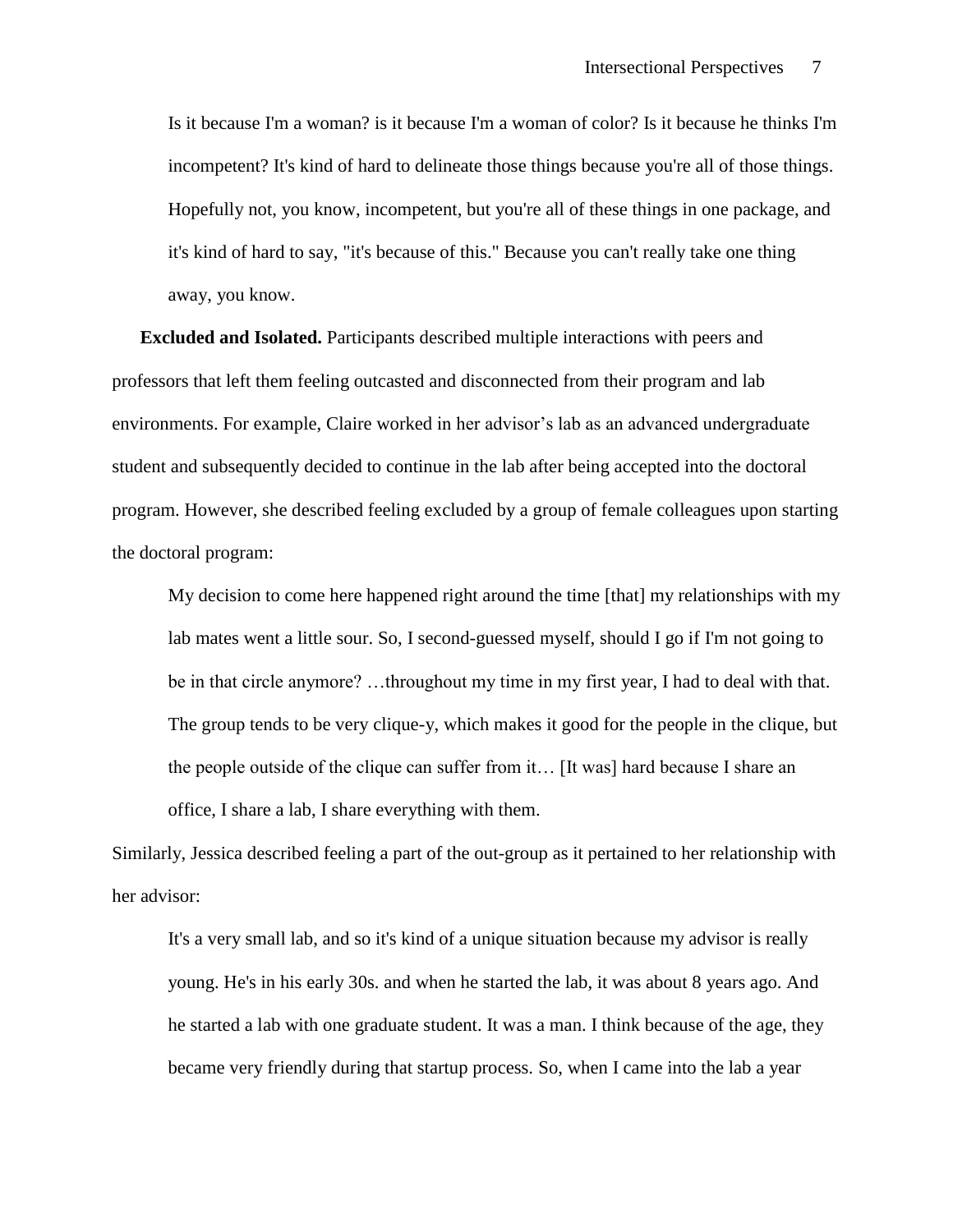Is it because I'm a woman? is it because I'm a woman of color? Is it because he thinks I'm incompetent? It's kind of hard to delineate those things because you're all of those things. Hopefully not, you know, incompetent, but you're all of these things in one package, and it's kind of hard to say, "it's because of this." Because you can't really take one thing away, you know.

**Excluded and Isolated.** Participants described multiple interactions with peers and professors that left them feeling outcasted and disconnected from their program and lab environments. For example, Claire worked in her advisor's lab as an advanced undergraduate student and subsequently decided to continue in the lab after being accepted into the doctoral program. However, she described feeling excluded by a group of female colleagues upon starting the doctoral program:

My decision to come here happened right around the time [that] my relationships with my lab mates went a little sour. So, I second-guessed myself, should I go if I'm not going to be in that circle anymore? …throughout my time in my first year, I had to deal with that. The group tends to be very clique-y, which makes it good for the people in the clique, but the people outside of the clique can suffer from it… [It was] hard because I share an office, I share a lab, I share everything with them.

Similarly, Jessica described feeling a part of the out-group as it pertained to her relationship with her advisor:

It's a very small lab, and so it's kind of a unique situation because my advisor is really young. He's in his early 30s. and when he started the lab, it was about 8 years ago. And he started a lab with one graduate student. It was a man. I think because of the age, they became very friendly during that startup process. So, when I came into the lab a year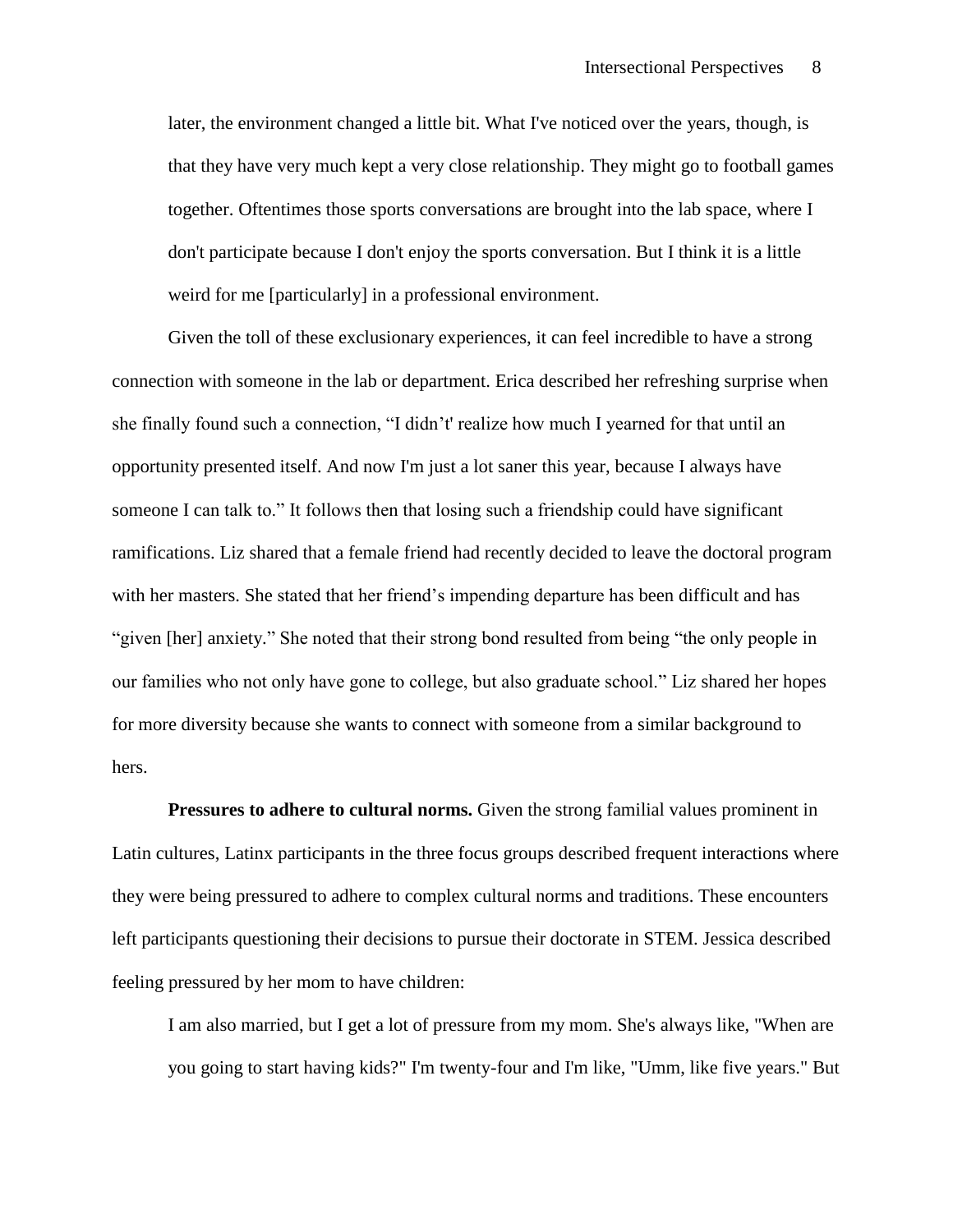later, the environment changed a little bit. What I've noticed over the years, though, is that they have very much kept a very close relationship. They might go to football games together. Oftentimes those sports conversations are brought into the lab space, where I don't participate because I don't enjoy the sports conversation. But I think it is a little weird for me [particularly] in a professional environment.

Given the toll of these exclusionary experiences, it can feel incredible to have a strong connection with someone in the lab or department. Erica described her refreshing surprise when she finally found such a connection, "I didn't' realize how much I yearned for that until an opportunity presented itself. And now I'm just a lot saner this year, because I always have someone I can talk to." It follows then that losing such a friendship could have significant ramifications. Liz shared that a female friend had recently decided to leave the doctoral program with her masters. She stated that her friend's impending departure has been difficult and has "given [her] anxiety." She noted that their strong bond resulted from being "the only people in our families who not only have gone to college, but also graduate school." Liz shared her hopes for more diversity because she wants to connect with someone from a similar background to hers.

**Pressures to adhere to cultural norms.** Given the strong familial values prominent in Latin cultures, Latinx participants in the three focus groups described frequent interactions where they were being pressured to adhere to complex cultural norms and traditions. These encounters left participants questioning their decisions to pursue their doctorate in STEM. Jessica described feeling pressured by her mom to have children:

I am also married, but I get a lot of pressure from my mom. She's always like, "When are you going to start having kids?" I'm twenty-four and I'm like, "Umm, like five years." But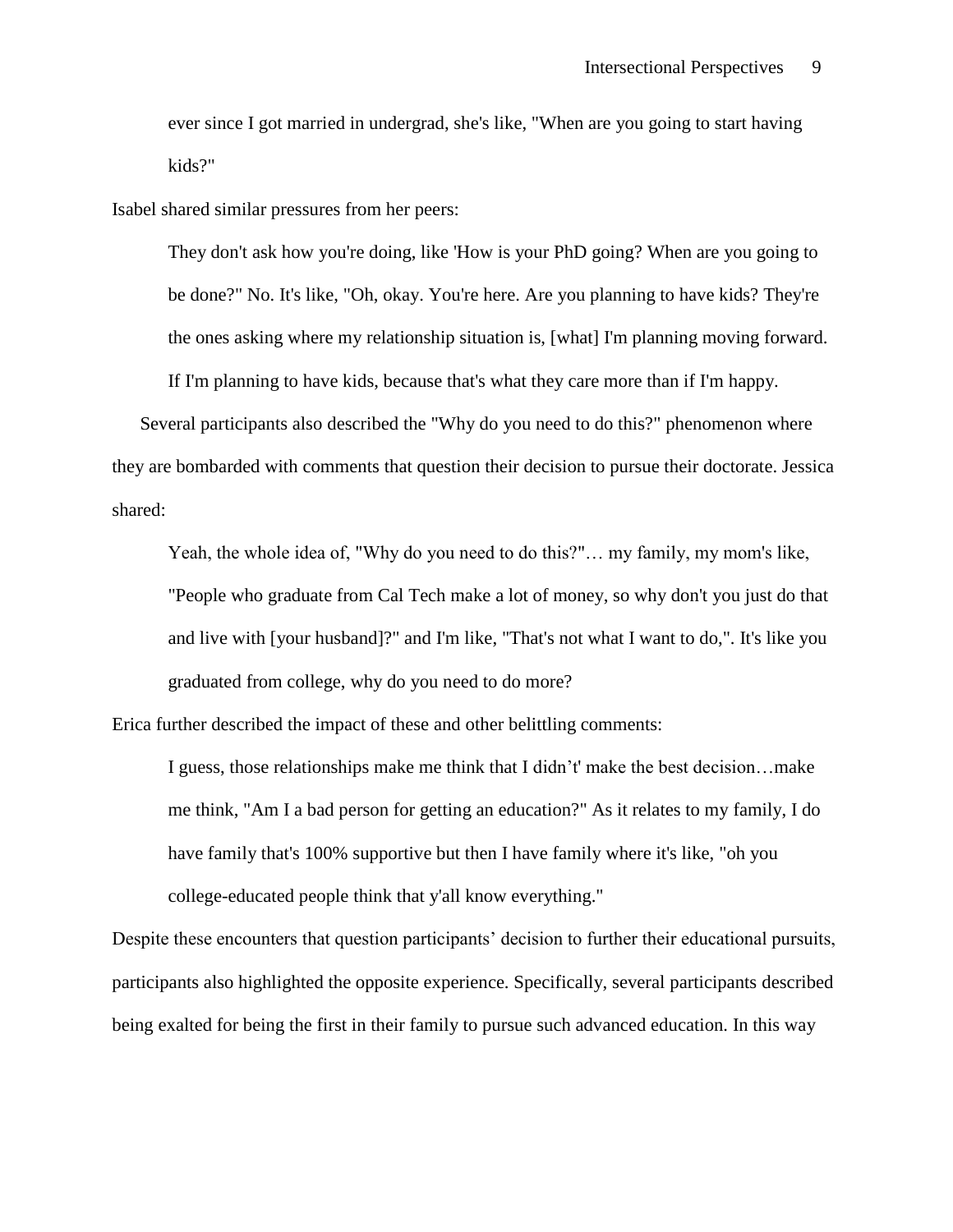ever since I got married in undergrad, she's like, "When are you going to start having kids?"

Isabel shared similar pressures from her peers:

They don't ask how you're doing, like 'How is your PhD going? When are you going to be done?" No. It's like, "Oh, okay. You're here. Are you planning to have kids? They're the ones asking where my relationship situation is, [what] I'm planning moving forward. If I'm planning to have kids, because that's what they care more than if I'm happy.

Several participants also described the "Why do you need to do this?" phenomenon where they are bombarded with comments that question their decision to pursue their doctorate. Jessica shared:

Yeah, the whole idea of, "Why do you need to do this?"… my family, my mom's like, "People who graduate from Cal Tech make a lot of money, so why don't you just do that and live with [your husband]?" and I'm like, "That's not what I want to do,". It's like you graduated from college, why do you need to do more?

Erica further described the impact of these and other belittling comments:

I guess, those relationships make me think that I didn't' make the best decision…make me think, "Am I a bad person for getting an education?" As it relates to my family, I do have family that's 100% supportive but then I have family where it's like, "oh you college-educated people think that y'all know everything."

Despite these encounters that question participants' decision to further their educational pursuits, participants also highlighted the opposite experience. Specifically, several participants described being exalted for being the first in their family to pursue such advanced education. In this way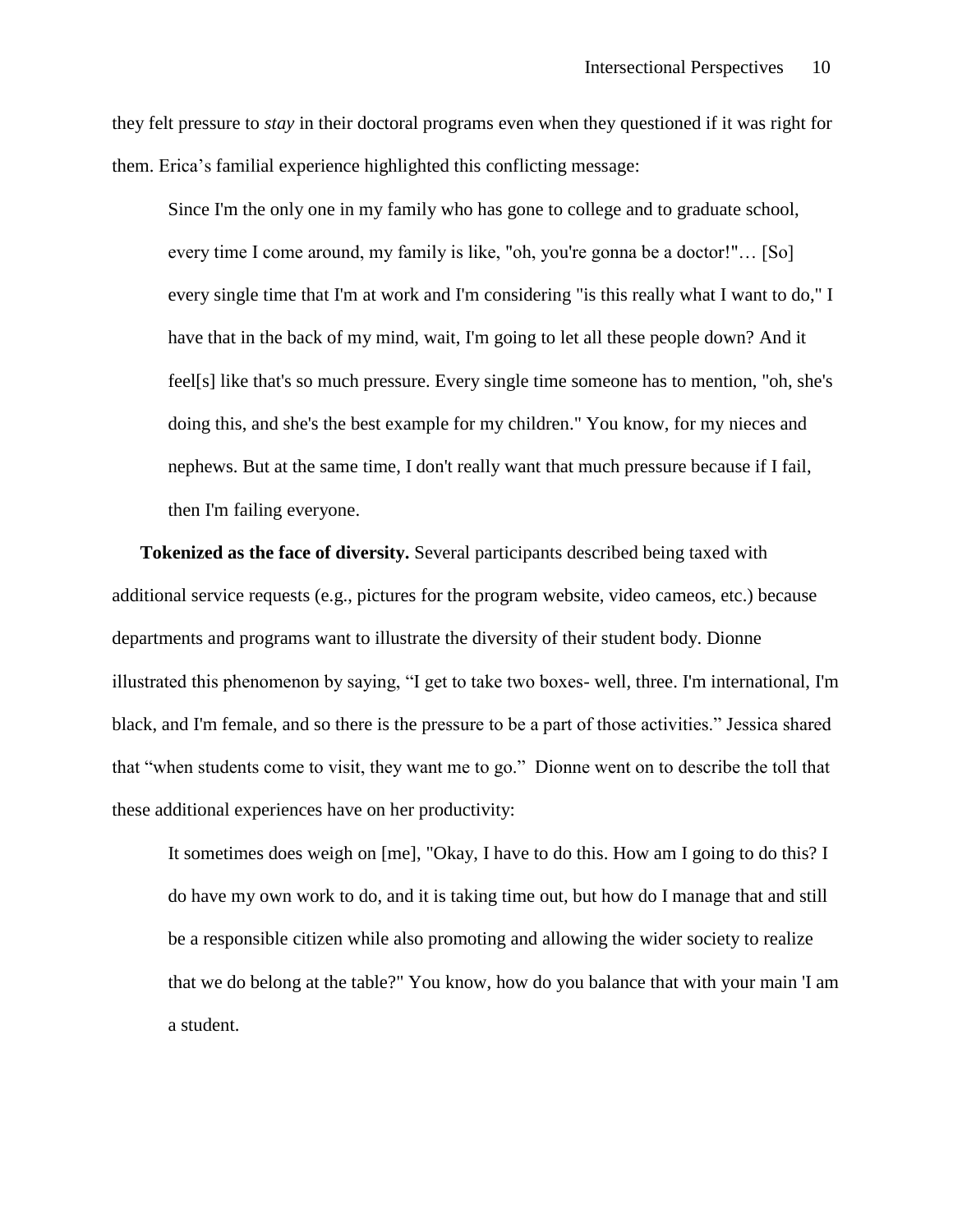they felt pressure to *stay* in their doctoral programs even when they questioned if it was right for them. Erica's familial experience highlighted this conflicting message:

Since I'm the only one in my family who has gone to college and to graduate school, every time I come around, my family is like, "oh, you're gonna be a doctor!"… [So] every single time that I'm at work and I'm considering "is this really what I want to do," I have that in the back of my mind, wait, I'm going to let all these people down? And it feel[s] like that's so much pressure. Every single time someone has to mention, "oh, she's doing this, and she's the best example for my children." You know, for my nieces and nephews. But at the same time, I don't really want that much pressure because if I fail, then I'm failing everyone.

**Tokenized as the face of diversity.** Several participants described being taxed with additional service requests (e.g., pictures for the program website, video cameos, etc.) because departments and programs want to illustrate the diversity of their student body. Dionne illustrated this phenomenon by saying, "I get to take two boxes- well, three. I'm international, I'm black, and I'm female, and so there is the pressure to be a part of those activities." Jessica shared that "when students come to visit, they want me to go." Dionne went on to describe the toll that these additional experiences have on her productivity:

It sometimes does weigh on [me], "Okay, I have to do this. How am I going to do this? I do have my own work to do, and it is taking time out, but how do I manage that and still be a responsible citizen while also promoting and allowing the wider society to realize that we do belong at the table?" You know, how do you balance that with your main 'I am a student.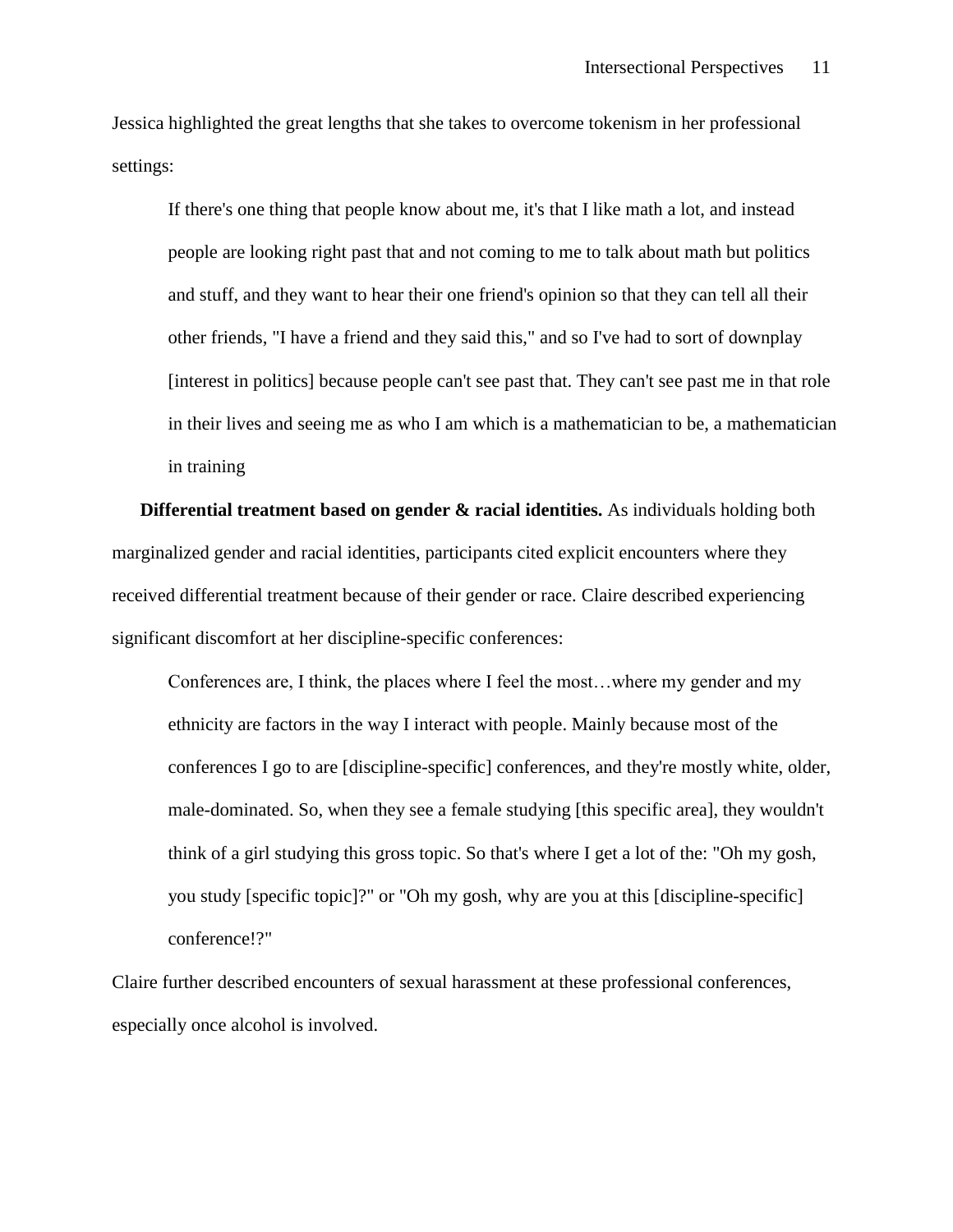Jessica highlighted the great lengths that she takes to overcome tokenism in her professional settings:

If there's one thing that people know about me, it's that I like math a lot, and instead people are looking right past that and not coming to me to talk about math but politics and stuff, and they want to hear their one friend's opinion so that they can tell all their other friends, "I have a friend and they said this," and so I've had to sort of downplay [interest in politics] because people can't see past that. They can't see past me in that role in their lives and seeing me as who I am which is a mathematician to be, a mathematician in training

**Differential treatment based on gender & racial identities.** As individuals holding both marginalized gender and racial identities, participants cited explicit encounters where they received differential treatment because of their gender or race. Claire described experiencing significant discomfort at her discipline-specific conferences:

Conferences are, I think, the places where I feel the most…where my gender and my ethnicity are factors in the way I interact with people. Mainly because most of the conferences I go to are [discipline-specific] conferences, and they're mostly white, older, male-dominated. So, when they see a female studying [this specific area], they wouldn't think of a girl studying this gross topic. So that's where I get a lot of the: "Oh my gosh, you study [specific topic]?" or "Oh my gosh, why are you at this [discipline-specific] conference!?"

Claire further described encounters of sexual harassment at these professional conferences, especially once alcohol is involved.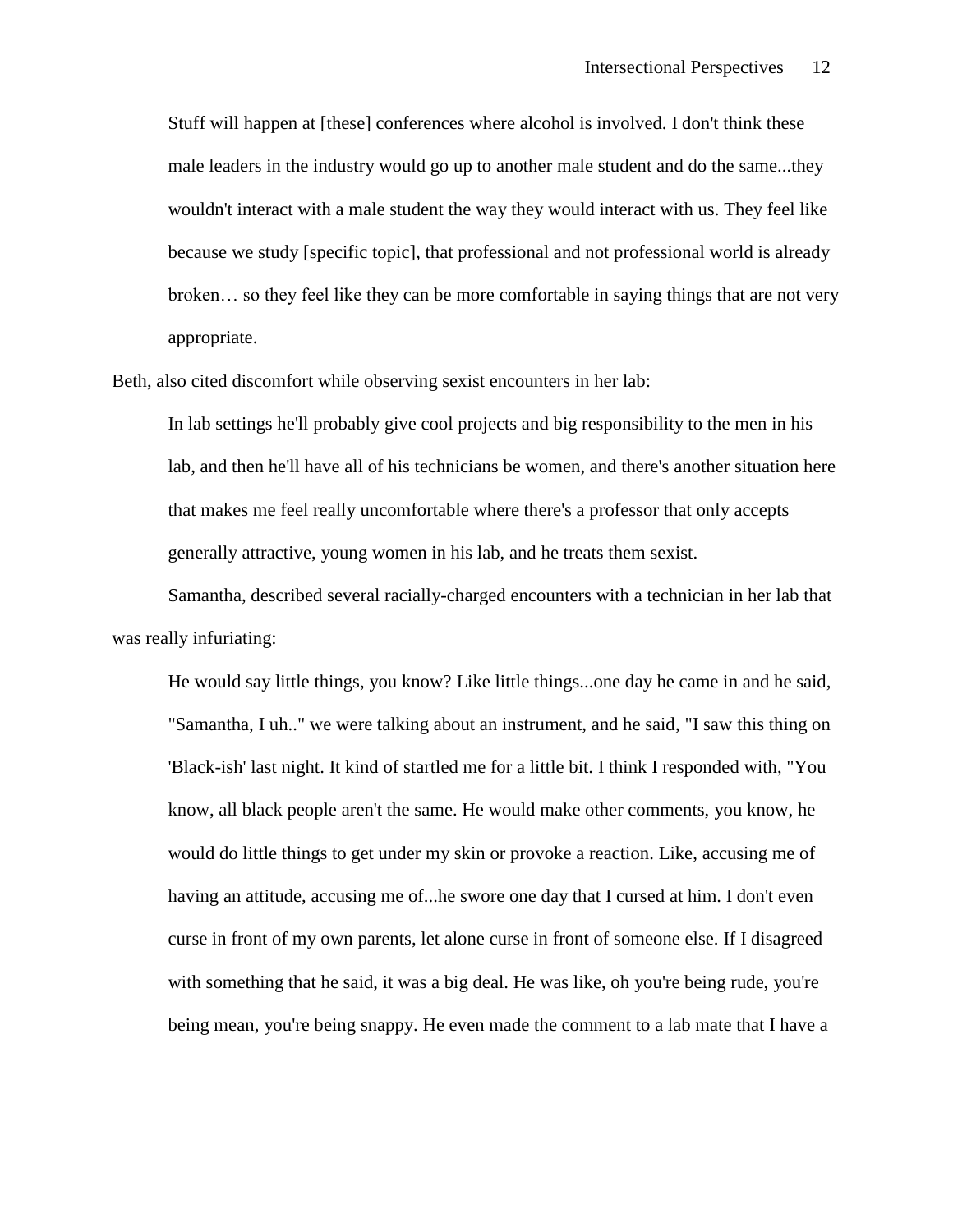Stuff will happen at [these] conferences where alcohol is involved. I don't think these male leaders in the industry would go up to another male student and do the same...they wouldn't interact with a male student the way they would interact with us. They feel like because we study [specific topic], that professional and not professional world is already broken… so they feel like they can be more comfortable in saying things that are not very appropriate.

Beth, also cited discomfort while observing sexist encounters in her lab:

In lab settings he'll probably give cool projects and big responsibility to the men in his lab, and then he'll have all of his technicians be women, and there's another situation here that makes me feel really uncomfortable where there's a professor that only accepts generally attractive, young women in his lab, and he treats them sexist.

Samantha, described several racially-charged encounters with a technician in her lab that was really infuriating:

He would say little things, you know? Like little things...one day he came in and he said, "Samantha, I uh.." we were talking about an instrument, and he said, "I saw this thing on 'Black-ish' last night. It kind of startled me for a little bit. I think I responded with, "You know, all black people aren't the same. He would make other comments, you know, he would do little things to get under my skin or provoke a reaction. Like, accusing me of having an attitude, accusing me of...he swore one day that I cursed at him. I don't even curse in front of my own parents, let alone curse in front of someone else. If I disagreed with something that he said, it was a big deal. He was like, oh you're being rude, you're being mean, you're being snappy. He even made the comment to a lab mate that I have a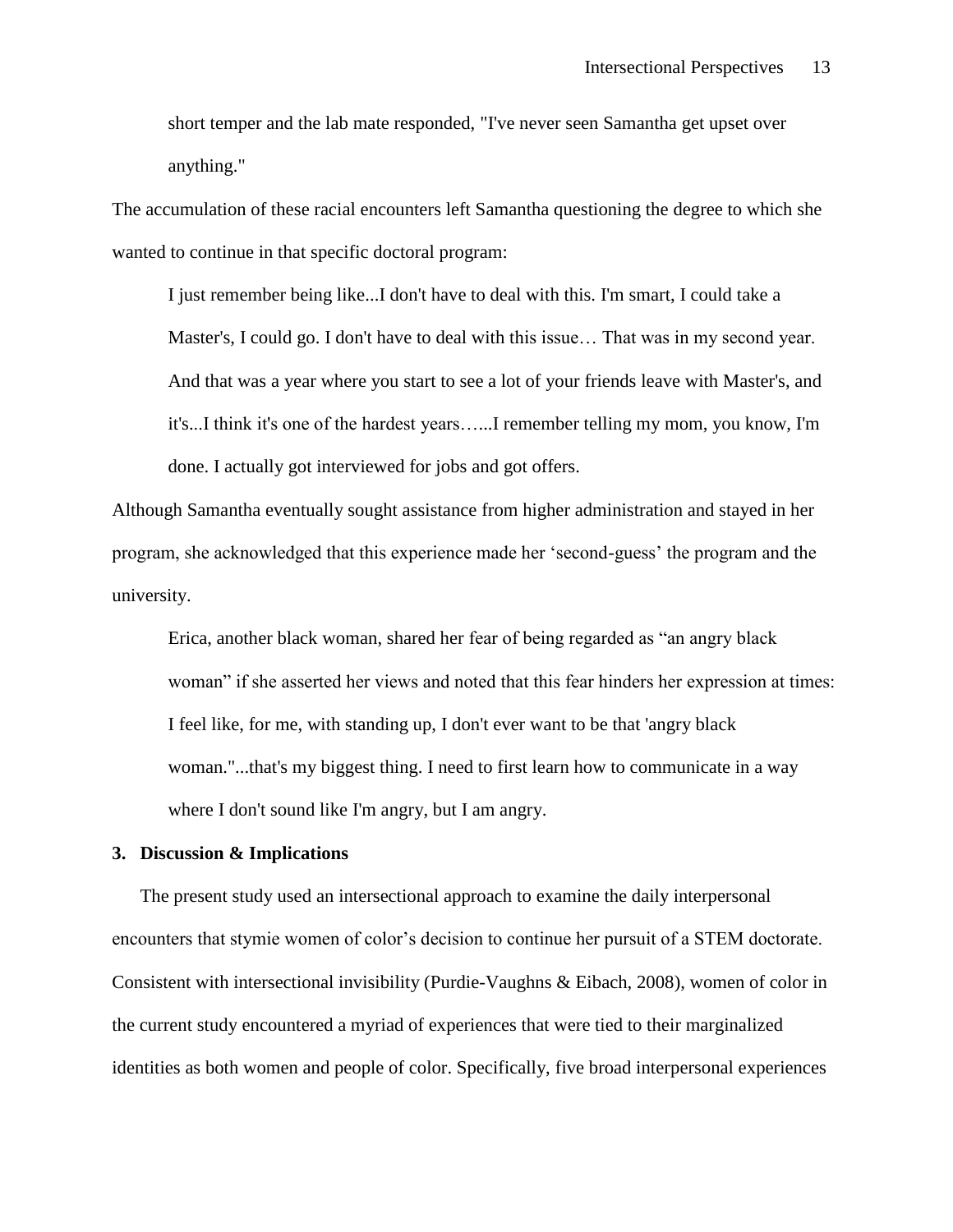short temper and the lab mate responded, "I've never seen Samantha get upset over anything."

The accumulation of these racial encounters left Samantha questioning the degree to which she wanted to continue in that specific doctoral program:

I just remember being like...I don't have to deal with this. I'm smart, I could take a Master's, I could go. I don't have to deal with this issue… That was in my second year. And that was a year where you start to see a lot of your friends leave with Master's, and it's...I think it's one of the hardest years…...I remember telling my mom, you know, I'm done. I actually got interviewed for jobs and got offers.

Although Samantha eventually sought assistance from higher administration and stayed in her program, she acknowledged that this experience made her 'second-guess' the program and the university.

Erica, another black woman, shared her fear of being regarded as "an angry black woman" if she asserted her views and noted that this fear hinders her expression at times: I feel like, for me, with standing up, I don't ever want to be that 'angry black woman."...that's my biggest thing. I need to first learn how to communicate in a way where I don't sound like I'm angry, but I am angry.

## **3. Discussion & Implications**

The present study used an intersectional approach to examine the daily interpersonal encounters that stymie women of color's decision to continue her pursuit of a STEM doctorate. Consistent with intersectional invisibility (Purdie-Vaughns & Eibach, 2008), women of color in the current study encountered a myriad of experiences that were tied to their marginalized identities as both women and people of color. Specifically, five broad interpersonal experiences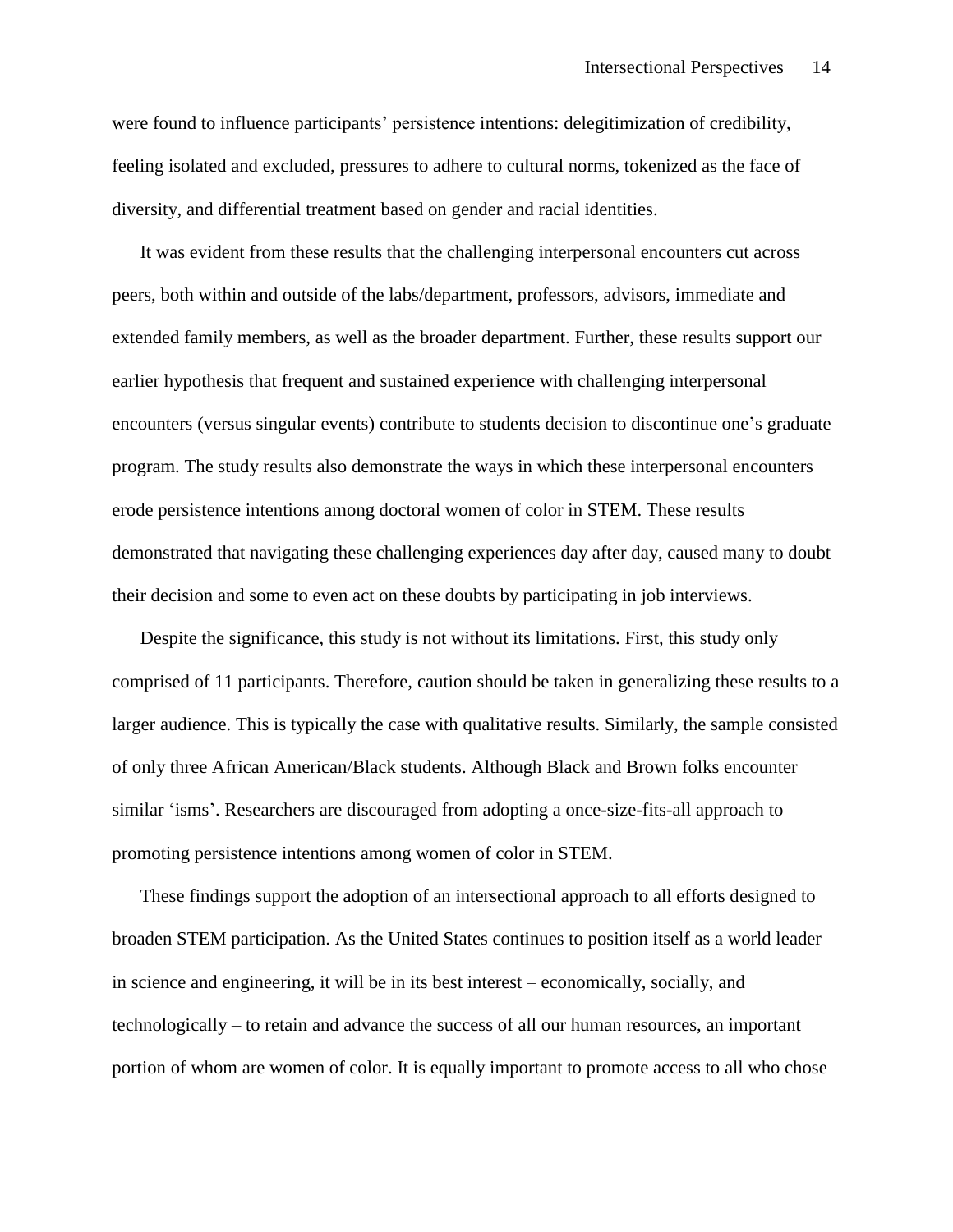were found to influence participants' persistence intentions: delegitimization of credibility, feeling isolated and excluded, pressures to adhere to cultural norms, tokenized as the face of diversity, and differential treatment based on gender and racial identities.

It was evident from these results that the challenging interpersonal encounters cut across peers, both within and outside of the labs/department, professors, advisors, immediate and extended family members, as well as the broader department. Further, these results support our earlier hypothesis that frequent and sustained experience with challenging interpersonal encounters (versus singular events) contribute to students decision to discontinue one's graduate program. The study results also demonstrate the ways in which these interpersonal encounters erode persistence intentions among doctoral women of color in STEM. These results demonstrated that navigating these challenging experiences day after day, caused many to doubt their decision and some to even act on these doubts by participating in job interviews.

Despite the significance, this study is not without its limitations. First, this study only comprised of 11 participants. Therefore, caution should be taken in generalizing these results to a larger audience. This is typically the case with qualitative results. Similarly, the sample consisted of only three African American/Black students. Although Black and Brown folks encounter similar 'isms'. Researchers are discouraged from adopting a once-size-fits-all approach to promoting persistence intentions among women of color in STEM.

These findings support the adoption of an intersectional approach to all efforts designed to broaden STEM participation. As the United States continues to position itself as a world leader in science and engineering, it will be in its best interest – economically, socially, and technologically – to retain and advance the success of all our human resources, an important portion of whom are women of color. It is equally important to promote access to all who chose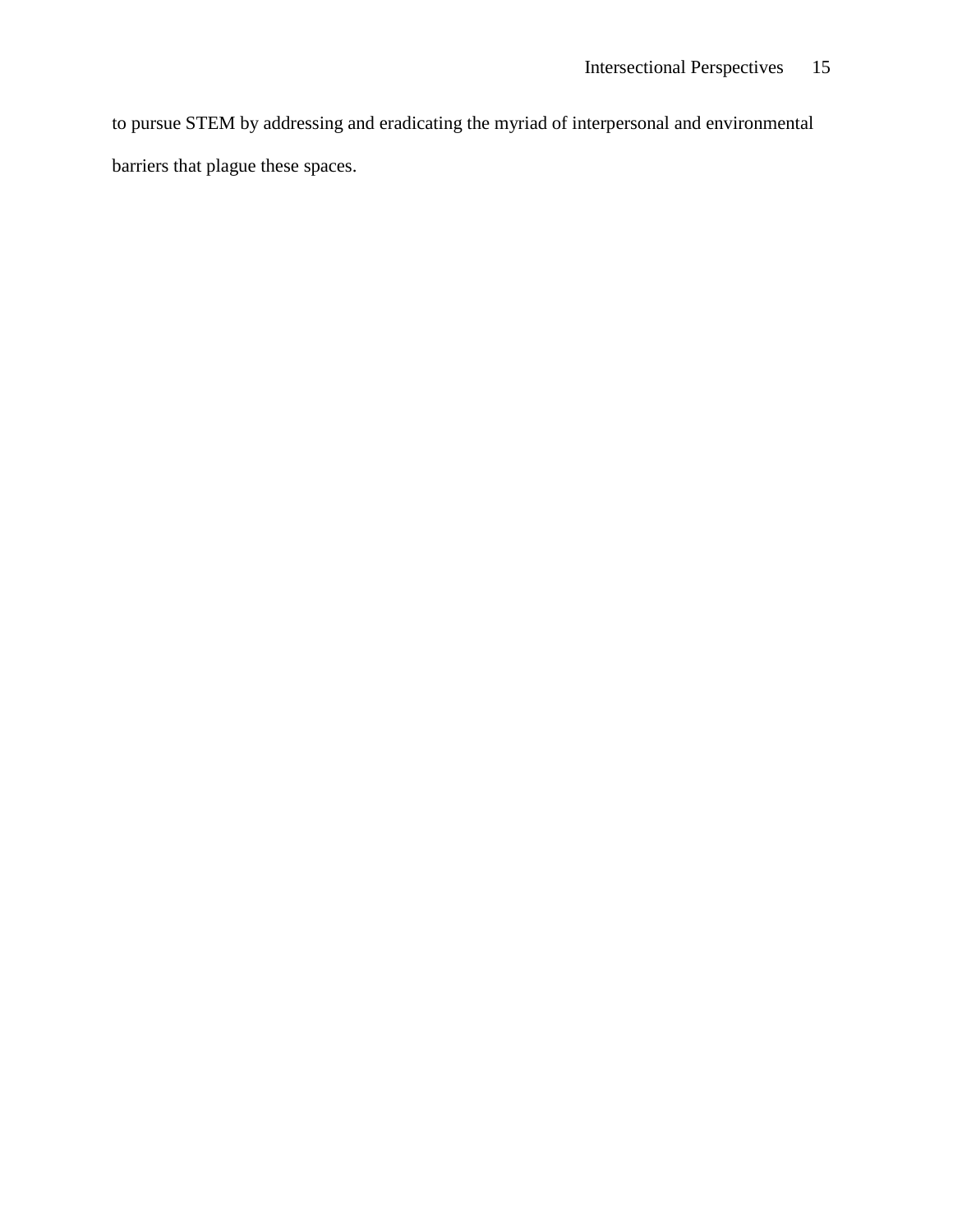to pursue STEM by addressing and eradicating the myriad of interpersonal and environmental barriers that plague these spaces.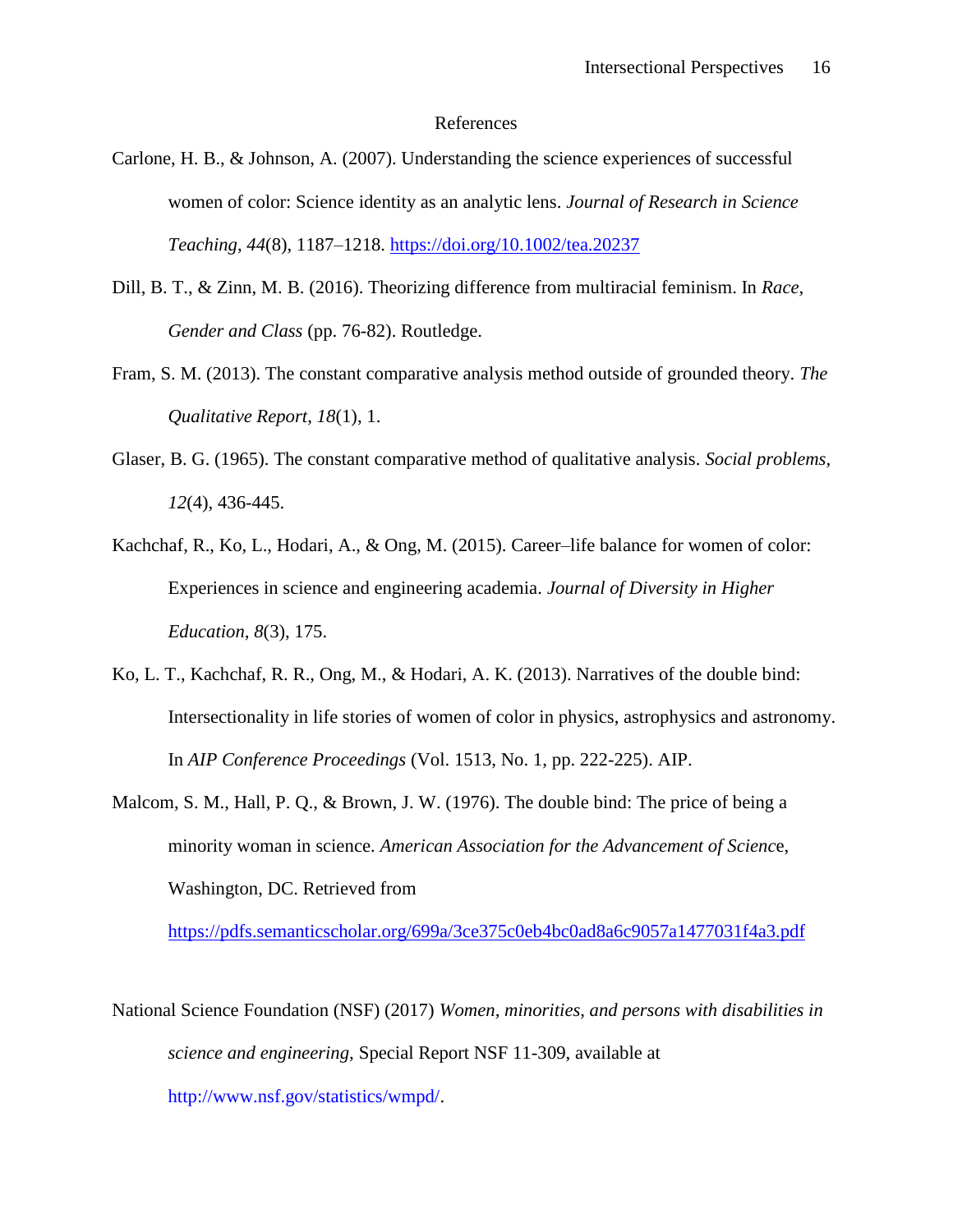#### References

- Carlone, H. B., & Johnson, A. (2007). Understanding the science experiences of successful women of color: Science identity as an analytic lens. *Journal of Research in Science Teaching*, *44*(8), 1187–1218.<https://doi.org/10.1002/tea.20237>
- Dill, B. T., & Zinn, M. B. (2016). Theorizing difference from multiracial feminism. In *Race, Gender and Class* (pp. 76-82). Routledge.
- Fram, S. M. (2013). The constant comparative analysis method outside of grounded theory. *The Qualitative Report*, *18*(1), 1.
- Glaser, B. G. (1965). The constant comparative method of qualitative analysis. *Social problems*, *12*(4), 436-445.
- Kachchaf, R., Ko, L., Hodari, A., & Ong, M. (2015). Career–life balance for women of color: Experiences in science and engineering academia. *Journal of Diversity in Higher Education*, *8*(3), 175.
- Ko, L. T., Kachchaf, R. R., Ong, M., & Hodari, A. K. (2013). Narratives of the double bind: Intersectionality in life stories of women of color in physics, astrophysics and astronomy. In *AIP Conference Proceedings* (Vol. 1513, No. 1, pp. 222-225). AIP.
- Malcom, S. M., Hall, P. Q., & Brown, J. W. (1976). The double bind: The price of being a minority woman in science. *American Association for the Advancement of Scienc*e, Washington, DC. Retrieved from

<https://pdfs.semanticscholar.org/699a/3ce375c0eb4bc0ad8a6c9057a1477031f4a3.pdf>

National Science Foundation (NSF) (2017) *Women, minorities, and persons with disabilities in science and engineering,* Special Report NSF 11-309, available at http://www.nsf.gov/statistics/wmpd/.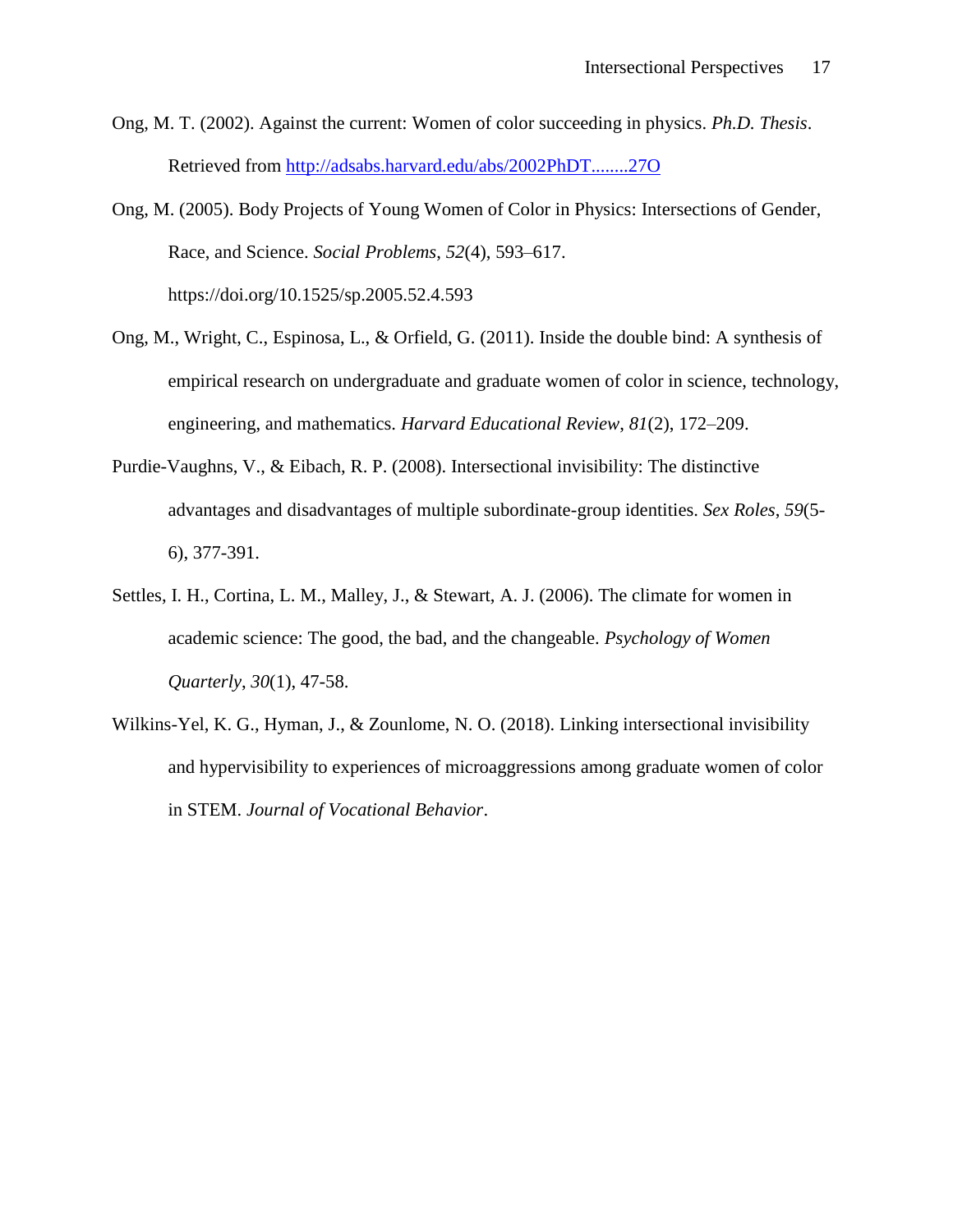Ong, M. T. (2002). Against the current: Women of color succeeding in physics. *Ph.D. Thesis*. Retrieved from<http://adsabs.harvard.edu/abs/2002PhDT........27O>

Ong, M. (2005). Body Projects of Young Women of Color in Physics: Intersections of Gender, Race, and Science. *Social Problems*, *52*(4), 593–617. https://doi.org/10.1525/sp.2005.52.4.593

- Ong, M., Wright, C., Espinosa, L., & Orfield, G. (2011). Inside the double bind: A synthesis of empirical research on undergraduate and graduate women of color in science, technology, engineering, and mathematics. *Harvard Educational Review*, *81*(2), 172–209.
- Purdie-Vaughns, V., & Eibach, R. P. (2008). Intersectional invisibility: The distinctive advantages and disadvantages of multiple subordinate-group identities. *Sex Roles*, *59*(5- 6), 377-391.
- Settles, I. H., Cortina, L. M., Malley, J., & Stewart, A. J. (2006). The climate for women in academic science: The good, the bad, and the changeable. *Psychology of Women Quarterly*, *30*(1), 47-58.
- Wilkins-Yel, K. G., Hyman, J., & Zounlome, N. O. (2018). Linking intersectional invisibility and hypervisibility to experiences of microaggressions among graduate women of color in STEM. *Journal of Vocational Behavior*.